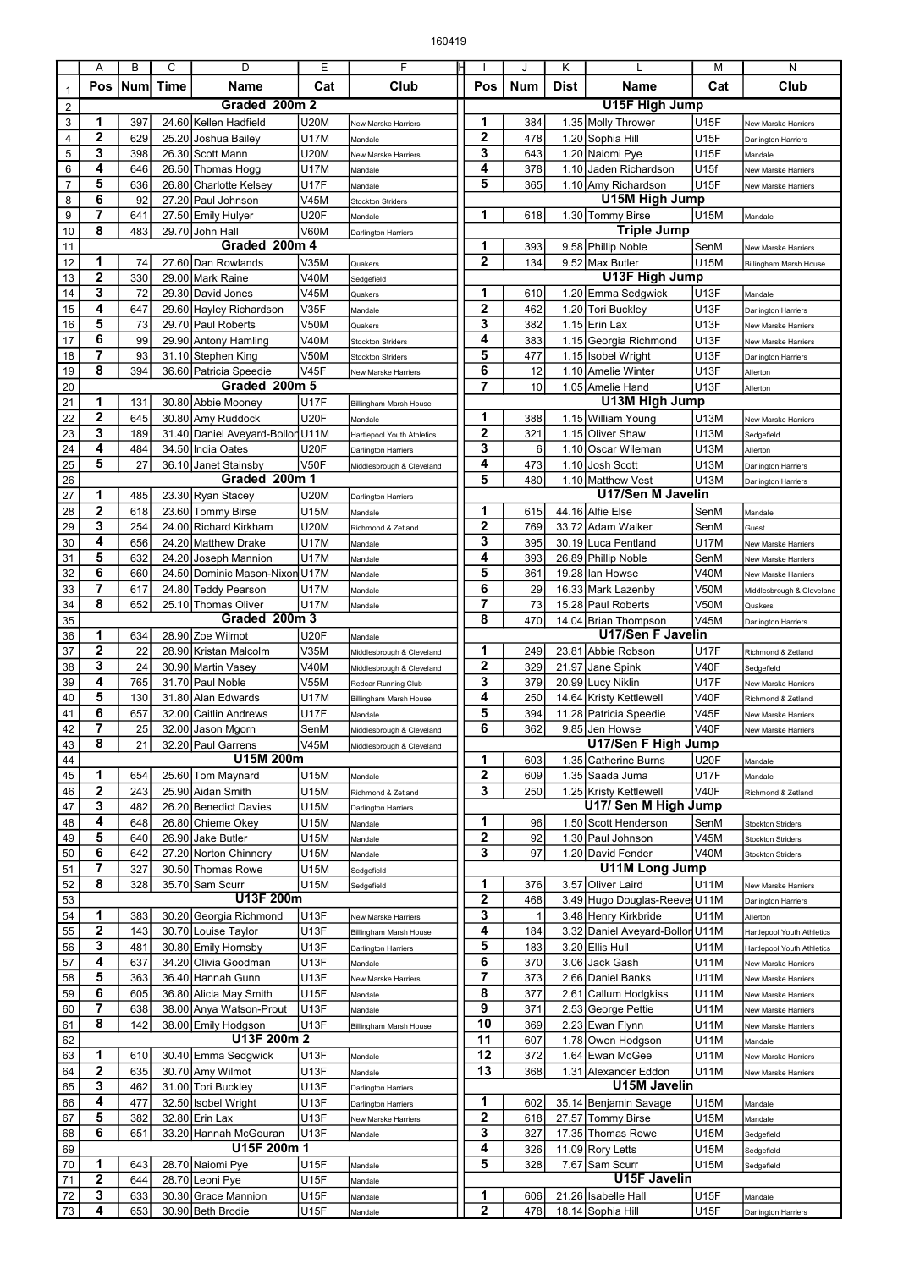|                     | Α              | B          | C    | D                                              | Ε            | F                                             | H              | J            | Κ    | L                                            | M            | Ν                                          |
|---------------------|----------------|------------|------|------------------------------------------------|--------------|-----------------------------------------------|----------------|--------------|------|----------------------------------------------|--------------|--------------------------------------------|
| $\mathbf{1}$        | Pos            | Num        | Time | Name                                           | Cat          | Club                                          | Pos            | Num          | Dist | Name                                         | Cat          | Club                                       |
| $\sqrt{2}$          |                |            |      | Graded 200m 2                                  |              |                                               |                |              |      | U15F High Jump                               |              |                                            |
| 3                   | 1              | 397        |      | 24.60 Kellen Hadfield                          | U20M         | New Marske Harriers                           | 1              | 384          |      | 1.35 Molly Thrower                           | U15F         | New Marske Harriers                        |
| 4                   | $\overline{2}$ | 629        |      | 25.20 Joshua Bailey                            | U17M         | Mandale                                       | $\overline{2}$ | 478          |      | 1.20 Sophia Hill                             | U15F         | Darlington Harriers                        |
| 5                   | 3              | 398        |      | 26.30 Scott Mann                               | U20M         | New Marske Harriers                           | 3              | 643          |      | 1.20 Naiomi Pye                              | U15F         | Mandale                                    |
| 6                   | 4              | 646        |      | 26.50 Thomas Hogg                              | U17M         | Mandale                                       | 4              | 378          |      | 1.10 Jaden Richardson                        | U15f         | New Marske Harriers                        |
| $\overline{7}$<br>8 | 5<br>6         | 636<br>92  |      | 26.80 Charlotte Kelsey<br>27.20 Paul Johnson   | U17F<br>V45M | Mandale                                       | 5              | 365          |      | 1.10 Amy Richardson<br>U15M High Jump        | <b>U15F</b>  | New Marske Harriers                        |
| 9                   | 7              | 641        |      | 27.50 Emily Hulyer                             | <b>U20F</b>  | <b>Stockton Striders</b><br>Mandale           | 1              | 618          |      | 1.30 Tommy Birse                             | U15M         | Mandale                                    |
| 10                  | 8              | 483        |      | 29.70 John Hall                                | V60M         | <b>Darlington Harriers</b>                    |                |              |      | <b>Triple Jump</b>                           |              |                                            |
| 11                  |                |            |      | Graded 200m 4                                  |              |                                               | 1              | 393          |      | 9.58 Phillip Noble                           | SenM         | New Marske Harriers                        |
| 12                  | 1              | 74         |      | 27.60 Dan Rowlands                             | V35M         | Quakers                                       | $\mathbf{2}$   | 134          |      | 9.52 Max Butler                              | U15M         | Billingham Marsh House                     |
| 13                  | 2              | 330        |      | 29.00 Mark Raine                               | V40M         | Sedgefield                                    |                |              |      | U13F High Jump                               |              |                                            |
| 14                  | 3              | 72         |      | 29.30 David Jones                              | V45M         | Quakers                                       | 1              | 610          |      | 1.20 Emma Sedgwick                           | U13F         | Mandale                                    |
| 15                  | 4              | 647        |      | 29.60 Hayley Richardson                        | V35F         | Mandale                                       | 2              | 462          |      | 1.20 Tori Buckley                            | <b>U13F</b>  | Darlington Harriers                        |
| 16<br>17            | 5<br>6         | 73<br>99   |      | 29.70 Paul Roberts                             | V50M         | Quakers                                       | 3<br>4         | 382<br>383   |      | 1.15 Erin Lax                                | <b>U13F</b>  | New Marske Harriers                        |
| 18                  | 7              | 93         |      | 29.90 Antony Hamling<br>31.10 Stephen King     | V40M<br>V50M | <b>Stockton Striders</b><br>Stockton Striders | 5              | 477          |      | 1.15 Georgia Richmond<br>1.15 Isobel Wright  | U13F<br>U13F | New Marske Harriers<br>Darlington Harriers |
| 19                  | 8              | 394        |      | 36.60 Patricia Speedie                         | <b>V45F</b>  | New Marske Harriers                           | 6              | 12           |      | 1.10 Amelie Winter                           | <b>U13F</b>  | Allerton                                   |
| 20                  |                |            |      | Graded 200m 5                                  |              |                                               | 7              | 10           |      | 1.05 Amelie Hand                             | <b>U13F</b>  | Allerton                                   |
| 21                  | 1              | 131        |      | 30.80 Abbie Mooney                             | U17F         | Billingham Marsh House                        |                |              |      | U13M High Jump                               |              |                                            |
| 22                  | $\mathbf{2}$   | 645        |      | 30.80 Amy Ruddock                              | <b>U20F</b>  | Mandale                                       | 1              | 388          |      | 1.15 William Young                           | U13M         | New Marske Harriers                        |
| 23                  | 3              | 189        |      | 31.40 Daniel Aveyard-Bollor U11M               |              | Hartlepool Youth Athletics                    | 2              | 321          |      | 1.15 Oliver Shaw                             | U13M         | Sedgefield                                 |
| 24                  | 4              | 484        |      | 34.50 India Oates                              | <b>U20F</b>  | Darlington Harriers                           | 3              | 6            |      | 1.10 Oscar Wileman                           | U13M         | Allerton                                   |
| 25                  | 5              | 27         |      | 36.10 Janet Stainsby<br>Graded 200m 1          | V50F         | Middlesbrough & Cleveland                     | 4<br>5         | 473          |      | 1.10 Josh Scott                              | U13M         | Darlington Harriers                        |
| 26<br>27            | 1              | 485        |      | 23.30 Ryan Stacey                              | U20M         | Darlington Harriers                           |                | 480          |      | 1.10 Matthew Vest<br>U17/Sen M Javelin       | U13M         | Darlington Harriers                        |
| 28                  | 2              | 618        |      | 23.60 Tommy Birse                              | U15M         | Mandale                                       | 1              | 615          |      | 44.16 Alfie Else                             | SenM         | Mandale                                    |
| 29                  | 3              | 254        |      | 24.00 Richard Kirkham                          | U20M         | Richmond & Zetland                            | 2              | 769          |      | 33.72 Adam Walker                            | SenM         | Guest                                      |
| 30                  | 4              | 656        |      | 24.20 Matthew Drake                            | U17M         | Mandale                                       | 3              | 395          |      | 30.19 Luca Pentland                          | U17M         | New Marske Harriers                        |
| 31                  | 5              | 632        |      | 24.20 Joseph Mannion                           | U17M         | Mandale                                       | 4              | 393          |      | 26.89 Phillip Noble                          | SenM         | New Marske Harriers                        |
| 32                  | 6              | 660        |      | 24.50 Dominic Mason-Nixon U17M                 |              | Mandale                                       | 5              | 361          |      | 19.28 Ian Howse                              | V40M         | New Marske Harriers                        |
| 33                  | 7              | 617        |      | 24.80 Teddy Pearson                            | <b>U17M</b>  | Mandale                                       | 6              | 29           |      | 16.33 Mark Lazenby                           | <b>V50M</b>  | Middlesbrough & Cleveland                  |
| 34                  | 8              | 652        |      | 25.10 Thomas Oliver<br>Graded 200m 3           | <b>U17M</b>  | Mandale                                       | 7<br>8         | 73           |      | 15.28 Paul Roberts                           | <b>V50M</b>  | Quakers                                    |
| 35<br>36            | 1              | 634        |      | 28.90 Zoe Wilmot                               | <b>U20F</b>  |                                               |                | 470          |      | 14.04 Brian Thompson<br>U17/Sen F Javelin    | V45M         | Darlington Harriers                        |
| 37                  | $\mathbf{2}$   | 22         |      | 28.90 Kristan Malcolm                          | V35M         | Mandale<br>Middlesbrough & Cleveland          | 1              | 249          |      | 23.81 Abbie Robson                           | <b>U17F</b>  | Richmond & Zetland                         |
| 38                  | 3              | 24         |      | 30.90 Martin Vasey                             | <b>V40M</b>  | Middlesbrough & Cleveland                     | 2              | 329          |      | 21.97 Jane Spink                             | V40F         | Sedgefield                                 |
| 39                  | 4              | 765        |      | 31.70 Paul Noble                               | V55M         | Redcar Running Club                           | 3              | 379          |      | 20.99 Lucy Niklin                            | U17F         | New Marske Harriers                        |
| 40                  | 5              | 130        |      | 31.80 Allan Edwards                            | U17M         | Billingham Marsh House                        | 4              | 250          |      | 14.64 Kristy Kettlewell                      | V40F         | Richmond & Zetland                         |
| 41                  | 6              | 657        |      | 32.00 Caitlin Andrews                          | U17F         | Mandale                                       | 5              | 394          |      | 11.28 Patricia Speedie                       | <b>V45F</b>  | New Marske Harriers                        |
| 42                  | 7              | 25         |      | 32.00 Jason Mgorn                              | SenM         | Middlesbrough & Cleveland                     | 6              | 362          |      | 9.85 Jen Howse<br><b>U17/Sen F High Jump</b> | <b>V40F</b>  | New Marske Harriers                        |
| 43<br>44            | 8              | 21         |      | 32.20 Paul Garrens<br><b>U15M 200m</b>         | V45M         | Middlesbrough & Cleveland                     | 1              | 603          | 1.35 | <b>Catherine Burns</b>                       | <b>U20F</b>  |                                            |
| 45                  | 1              | 654        |      | 25.60 Tom Maynard                              | U15M         | Mandale                                       | 2              | 609          |      | 1.35 Saada Juma                              | <b>U17F</b>  | Mandale<br>Mandale                         |
| 46                  | $\mathbf{2}$   | 243        |      | 25.90 Aidan Smith                              | U15M         | Richmond & Zetland                            | 3              | 250          |      | 1.25 Kristy Kettlewell                       | V40F         | Richmond & Zetland                         |
| 47                  | 3              | 482        |      | 26.20 Benedict Davies                          | U15M         | Darlington Harriers                           |                |              |      | U17/ Sen M High Jump                         |              |                                            |
| 48                  | 4              | 648        |      | 26.80 Chieme Okey                              | U15M         | Mandale                                       | 1              | 96           |      | 1.50 Scott Henderson                         | SenM         | <b>Stockton Striders</b>                   |
| 49                  | 5              | 640        |      | 26.90 Jake Butler                              | U15M         | Mandale                                       | 2              | 92           |      | 1.30 Paul Johnson                            | V45M         | <b>Stockton Striders</b>                   |
| 50                  | 6              | 642        |      | 27.20 Norton Chinnery                          | U15M         | Mandale                                       | 3              | 97           |      | 1.20 David Fender                            | <b>V40M</b>  | <b>Stockton Striders</b>                   |
| 51                  | 7<br>8         | 327        |      | 30.50 Thomas Rowe                              | U15M         | Sedgefield                                    | 1              | 376          | 3.57 | <b>U11M Long Jump</b><br><b>Oliver Laird</b> |              |                                            |
| 52<br>53            |                | 328        |      | 35.70 Sam Scurr<br>U13F 200m                   | U15M         | Sedgefield                                    | $\mathbf 2$    | 468          |      | 3.49 Hugo Douglas-ReeverU11M                 | U11M         | New Marske Harriers<br>Darlington Harriers |
| 54                  | 1              | 383        |      | 30.20 Georgia Richmond                         | U13F         | New Marske Harriers                           | 3              | $\mathbf{1}$ |      | 3.48 Henry Kirkbride                         | U11M         | Allerton                                   |
| 55                  | $\mathbf 2$    | 143        |      | 30.70 Louise Taylor                            | U13F         | Billingham Marsh House                        | 4              | 184          |      | 3.32 Daniel Aveyard-Bollon U11M              |              | Hartlepool Youth Athletics                 |
| 56                  | 3              | 481        |      | 30.80 Emily Hornsby                            | U13F         | Darlington Harriers                           | 5              | 183          |      | 3.20 Ellis Hull                              | U11M         | Hartlepool Youth Athletics                 |
| 57                  | 4              | 637        |      | 34.20 Olivia Goodman                           | U13F         | Mandale                                       | 6              | 370          |      | 3.06 Jack Gash                               | U11M         | New Marske Harriers                        |
| 58                  | 5              | 363        |      | 36.40 Hannah Gunn                              | U13F         | New Marske Harriers                           | 7              | 373          |      | 2.66 Daniel Banks                            | U11M         | New Marske Harriers                        |
| 59                  | 6              | 605        |      | 36.80 Alicia May Smith                         | <b>U15F</b>  | Mandale                                       | 8              | 377          |      | 2.61 Callum Hodgkiss                         | U11M         | New Marske Harriers                        |
| 60<br>61            | 7<br>8         | 638<br>142 |      | 38.00 Anya Watson-Prout<br>38.00 Emily Hodgson | U13F<br>U13F | Mandale<br>Billingham Marsh House             | 9<br>10        | 371<br>369   |      | 2.53 George Pettie<br>2.23 Ewan Flynn        | U11M<br>U11M | New Marske Harriers<br>New Marske Harriers |
| 62                  |                |            |      | U13F 200m 2                                    |              |                                               | 11             | 607          |      | 1.78 Owen Hodgson                            | U11M         | Mandale                                    |
| 63                  | 1              | 610        |      | 30.40 Emma Sedgwick                            | U13F         | Mandale                                       | 12             | 372          |      | 1.64 Ewan McGee                              | U11M         | New Marske Harriers                        |
| 64                  | $\mathbf 2$    | 635        |      | 30.70 Amy Wilmot                               | U13F         | Mandale                                       | 13             | 368          |      | 1.31 Alexander Eddon                         | U11M         | New Marske Harriers                        |
| 65                  | 3              | 462        |      | 31.00 Tori Buckley                             | U13F         | Darlington Harriers                           |                |              |      | U15M Javelin                                 |              |                                            |
| 66                  | 4              | 477        |      | 32.50 Isobel Wright                            | U13F         | Darlington Harriers                           | 1              | 602          |      | 35.14 Benjamin Savage                        | U15M         | Mandale                                    |
| 67                  | 5              | 382        |      | 32.80 Erin Lax                                 | U13F         | New Marske Harriers                           | 2              | 618          |      | 27.57 Tommy Birse                            | U15M         | Mandale                                    |
| 68                  | 6              | 651        |      | 33.20 Hannah McGouran<br>U15F 200m 1           | U13F         | Mandale                                       | 3<br>4         | 327          |      | 17.35 Thomas Rowe                            | U15M         | Sedgefield                                 |
| 69<br>70            | 1              | 643        |      | 28.70 Naiomi Pye                               | U15F         |                                               | 5              | 326<br>328   |      | 11.09 Rory Letts<br>7.67 Sam Scurr           | U15M<br>U15M | Sedgefield                                 |
| 71                  | 2              | 644        |      | 28.70 Leoni Pye                                | U15F         | Mandale<br>Mandale                            |                |              |      | U15F Javelin                                 |              | Sedgefield                                 |
| 72                  | 3              | 633        |      | 30.30 Grace Mannion                            | U15F         | Mandale                                       | 1              | 606          |      | 21.26 Isabelle Hall                          | U15F         | Mandale                                    |
| 73                  | 4              | 653        |      | 30.90 Beth Brodie                              | U15F         | Mandale                                       | $\overline{2}$ | 478          |      | 18.14 Sophia Hill                            | U15F         | Darlington Harriers                        |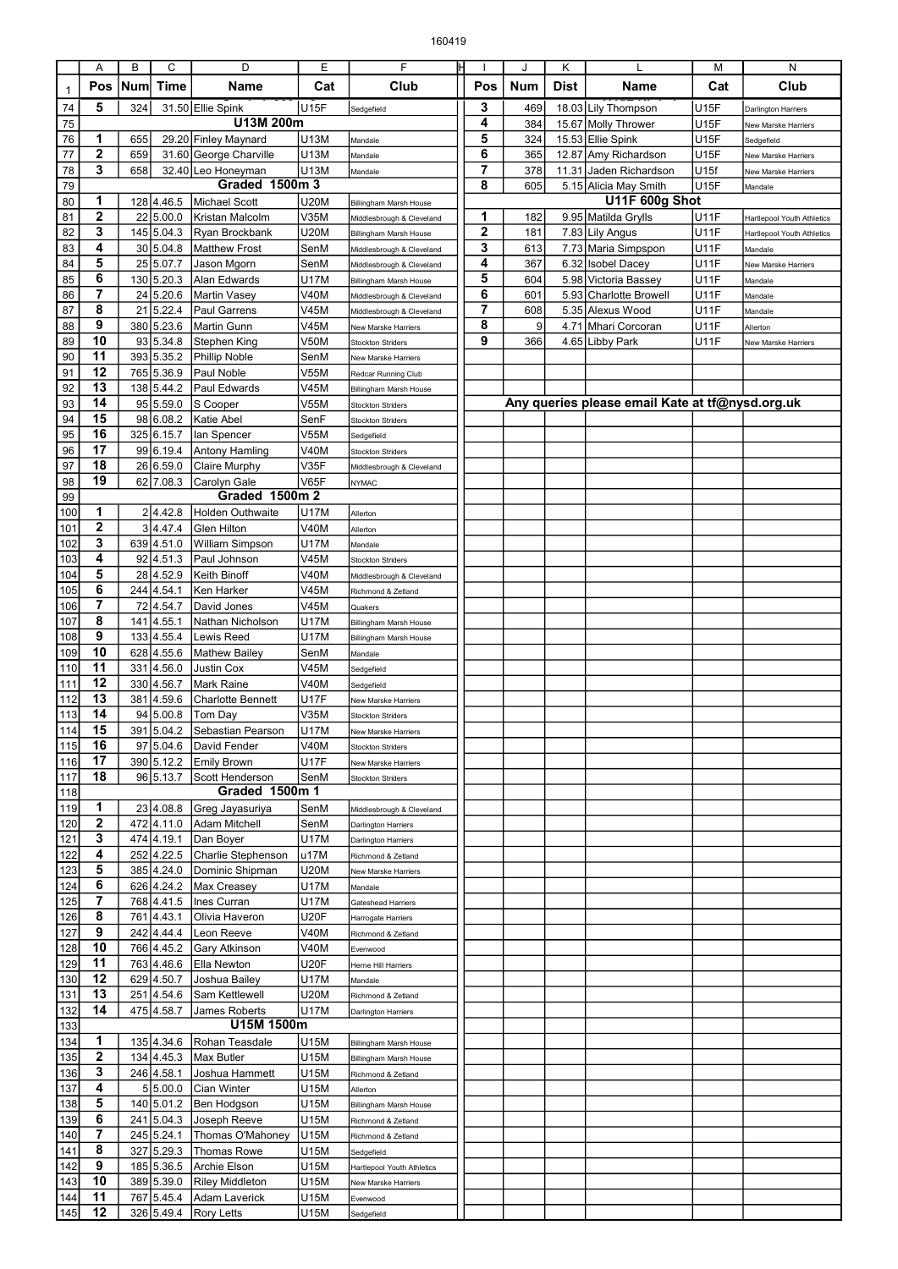|            | Α                 | B   | С                        | D                                                | Е                   | F                                                   |     | J          | Κ    |                                                 | М                          | N                                                        |
|------------|-------------------|-----|--------------------------|--------------------------------------------------|---------------------|-----------------------------------------------------|-----|------------|------|-------------------------------------------------|----------------------------|----------------------------------------------------------|
| 1          | Pos               | Num | Time                     | Name                                             | Cat                 | Club                                                | Pos | Num        | Dist | Name                                            | Cat                        | Club                                                     |
| 74         | 5                 | 324 |                          | 31.50 Ellie Spink                                | <b>U15F</b>         | Sedgefield                                          | 3   | 469        |      | 18.03 Lily Thompson                             | U15F                       | Darlington Harriers                                      |
| 75         |                   |     |                          | U13M 200m                                        |                     |                                                     | 4   | 384        |      | 15.67 Molly Thrower                             | <b>U15F</b>                | New Marske Harriers                                      |
| 76         | 1                 | 655 |                          | 29.20 Finley Maynard                             | U13M                | Mandale                                             | 5   | 324        |      | 15.53 Ellie Spink                               | U15F                       | Sedgefield                                               |
| 77         | $\mathbf 2$       | 659 |                          | 31.60 George Charville                           | U13M                | Mandale                                             | 6   | 365        |      | 12.87 Amy Richardson                            | U15F                       | New Marske Harriers                                      |
| 78         | 3                 | 658 |                          | 32.40 Leo Honeyman                               | U13M                | Mandale                                             | 7   | 378        |      | 11.31 Jaden Richardson                          | U15f                       | New Marske Harriers                                      |
| 79         |                   |     |                          | Graded 1500m 3                                   |                     |                                                     | 8   | 605        |      | 5.15 Alicia May Smith                           | <b>U15F</b>                | Mandale                                                  |
| 80         | 1<br>$\mathbf{2}$ |     | 128 4.46.5<br>22 5.00.0  | Michael Scott                                    | <b>U20M</b>         | Billingham Marsh House                              | 1   |            |      | <b>U11F 600g Shot</b>                           |                            |                                                          |
| 81<br>82   | 3                 |     | 145 5.04.3               | Kristan Malcolm<br>Ryan Brockbank                | V35M<br><b>U20M</b> | Middlesbrough & Cleveland<br>Billingham Marsh House | 2   | 182<br>181 |      | 9.95 Matilda Grylls<br>7.83 Lily Angus          | <b>U11F</b><br><b>U11F</b> | Hartlepool Youth Athletics<br>Hartlepool Youth Athletics |
| 83         | 4                 |     | 30 5.04.8                | <b>Matthew Frost</b>                             | SenM                | Middlesbrough & Cleveland                           | 3   | 613        |      | 7.73 Maria Simpspon                             | U11F                       | Mandale                                                  |
| 84         | 5                 |     | 25 5.07.7                | Jason Mgorn                                      | SenM                | Middlesbrough & Cleveland                           | 4   | 367        |      | 6.32 Isobel Dacey                               | U11F                       | New Marske Harriers                                      |
| 85         | 6                 |     | 130 5.20.3               | Alan Edwards                                     | U17M                | Billingham Marsh House                              | 5   | 604        |      | 5.98 Victoria Bassey                            | U11F                       | Mandale                                                  |
| 86         | 7                 |     | 24 5.20.6                | <b>Martin Vasey</b>                              | V40M                | Middlesbrough & Cleveland                           | 6   | 601        |      | 5.93 Charlotte Browell                          | U11F                       | Mandale                                                  |
| 87         | 8                 |     | 21 5.22.4                | Paul Garrens                                     | V45M                | Middlesbrough & Cleveland                           | 7   | 608        |      | 5.35 Alexus Wood                                | U11F                       | Mandale                                                  |
| 88         | 9                 |     | 380 5.23.6               | <b>Martin Gunn</b>                               | V45M                | New Marske Harriers                                 | 8   | 9          |      | 4.71 Mhari Corcoran                             | U11F                       | Allerton                                                 |
| 89         | 10<br>11          |     | 93 5.34.8                | Stephen King                                     | V50M                | <b>Stockton Striders</b>                            | 9   | 366        |      | 4.65 Libby Park                                 | U11F                       | New Marske Harriers                                      |
| 90<br>91   | 12                |     | 393 5.35.2<br>765 5.36.9 | <b>Phillip Noble</b><br>Paul Noble               | SenM<br>V55M        | New Marske Harriers<br>Redcar Running Club          |     |            |      |                                                 |                            |                                                          |
| 92         | 13                |     | 138 5.44.2               | Paul Edwards                                     | V45M                | Billingham Marsh House                              |     |            |      |                                                 |                            |                                                          |
| 93         | 14                |     | 95 5.59.0                | S Cooper                                         | V55M                | <b>Stockton Striders</b>                            |     |            |      | Any queries please email Kate at tf@nysd.org.uk |                            |                                                          |
| 94         | 15                |     | 98 6.08.2                | Katie Abel                                       | SenF                | <b>Stockton Striders</b>                            |     |            |      |                                                 |                            |                                                          |
| 95         | 16                |     | 325 6.15.7               | lan Spencer                                      | V55M                | Sedgefield                                          |     |            |      |                                                 |                            |                                                          |
| 96         | 17                |     | 99 6.19.4                | <b>Antony Hamling</b>                            | V40M                | <b>Stockton Striders</b>                            |     |            |      |                                                 |                            |                                                          |
| 97         | 18                |     | 26 6.59.0                | Claire Murphy                                    | V35F                | Middlesbrough & Cleveland                           |     |            |      |                                                 |                            |                                                          |
| 98<br>99   | 19                |     | 62 7.08.3                | Carolyn Gale<br><b>Graded 1500m 2</b>            | V65F                | <b>NYMAC</b>                                        |     |            |      |                                                 |                            |                                                          |
| 100        | 1                 |     | 2 4.42.8                 | Holden Outhwaite                                 | U17M                | Allerton                                            |     |            |      |                                                 |                            |                                                          |
| 101        | 2                 |     | 3 4.47.4                 | Glen Hilton                                      | V40M                | Allerton                                            |     |            |      |                                                 |                            |                                                          |
| 102        | 3                 |     | 639 4.51.0               | <b>William Simpson</b>                           | U17M                | Mandale                                             |     |            |      |                                                 |                            |                                                          |
| 103        | 4                 |     | 92 4.51.3                | Paul Johnson                                     | V45M                | Stockton Striders                                   |     |            |      |                                                 |                            |                                                          |
| 104        | 5                 |     | 28 4.52.9                | Keith Binoff                                     | V40M                | Middlesbrough & Cleveland                           |     |            |      |                                                 |                            |                                                          |
| 105        | 6                 |     | 244 4.54.1               | Ken Harker                                       | V45M                | Richmond & Zetland                                  |     |            |      |                                                 |                            |                                                          |
| 106        | 7                 |     | 72 4.54.7                | David Jones                                      | V45M                | Quakers                                             |     |            |      |                                                 |                            |                                                          |
| 107        | 8<br>9            | 141 | 4.55.1<br>133 4.55.4     | Nathan Nicholson<br>Lewis Reed                   | U17M                | Billingham Marsh House                              |     |            |      |                                                 |                            |                                                          |
| 108<br>109 | 10                |     | 628 4.55.6               | <b>Mathew Bailey</b>                             | U17M<br>SenM        | Billingham Marsh House<br>Mandale                   |     |            |      |                                                 |                            |                                                          |
| 110        | 11                | 331 | 4.56.0                   | Justin Cox                                       | V45M                | Sedgefield                                          |     |            |      |                                                 |                            |                                                          |
| 111        | 12                |     | 330 4.56.7               | Mark Raine                                       | <b>V40M</b>         | Sedgefield                                          |     |            |      |                                                 |                            |                                                          |
| 112        | 13                | 381 | 4.59.6                   | <b>Charlotte Bennett</b>                         | U17F                | New Marske Harriers                                 |     |            |      |                                                 |                            |                                                          |
| 113        | 14                |     | 94 5.00.8                | Tom Day                                          | V35M                | Stockton Striders                                   |     |            |      |                                                 |                            |                                                          |
| 114        | 15                | 391 |                          | 5.04.2 Sebastian Pearson                         | <b>U17M</b>         | New Marske Harriers                                 |     |            |      |                                                 |                            |                                                          |
| 115        | 16<br>17          |     |                          | 97 5.04.6 David Fender<br>390 5.12.2 Emily Brown | <b>V40M</b>         | Stockton Striders                                   |     |            |      |                                                 |                            |                                                          |
| 116<br>117 | 18                |     |                          | 96 5.13.7 Scott Henderson                        | <b>U17F</b><br>SenM | New Marske Harriers<br><b>Stockton Striders</b>     |     |            |      |                                                 |                            |                                                          |
| 118        |                   |     |                          | Graded 1500m 1                                   |                     |                                                     |     |            |      |                                                 |                            |                                                          |
| 119        | 1                 |     |                          | 23 4.08.8 Greg Jayasuriya                        | SenM                | Middlesbrough & Cleveland                           |     |            |      |                                                 |                            |                                                          |
| 120        | 2                 |     | 472 4.11.0               | Adam Mitchell                                    | SenM                | Darlington Harriers                                 |     |            |      |                                                 |                            |                                                          |
| 121        | 3                 |     | 474 4.19.1               | Dan Boyer                                        | U17M                | Darlington Harriers                                 |     |            |      |                                                 |                            |                                                          |
| 122        | 4                 |     | 252 4.22.5               | Charlie Stephenson                               | u17M                | Richmond & Zetland                                  |     |            |      |                                                 |                            |                                                          |
| 123        | 5<br>6            |     | 385 4.24.0               | Dominic Shipman                                  | <b>U20M</b>         | New Marske Harriers                                 |     |            |      |                                                 |                            |                                                          |
| 124<br>125 | 7                 |     | 768 4.41.5               | 626 4.24.2   Max Creasey<br>Ines Curran          | U17M<br>U17M        | Mandale<br>Gateshead Harriers                       |     |            |      |                                                 |                            |                                                          |
| 126        | 8                 |     | 761 4.43.1               | Olivia Haveron                                   | U20F                | Harrogate Harriers                                  |     |            |      |                                                 |                            |                                                          |
| 127        | 9                 |     | 242 4.44.4               | Leon Reeve                                       | V40M                | Richmond & Zetland                                  |     |            |      |                                                 |                            |                                                          |
| 128        | 10                |     | 766 4.45.2               | Gary Atkinson                                    | V40M                | Evenwood                                            |     |            |      |                                                 |                            |                                                          |
| 129        | 11                |     | 763 4.46.6               | Ella Newton                                      | U20F                | Herne Hill Harriers                                 |     |            |      |                                                 |                            |                                                          |
| 130        | 12                |     | 629 4.50.7               | Joshua Bailey                                    | U17M                | Mandale                                             |     |            |      |                                                 |                            |                                                          |
| 131        | 13                |     | 251 4.54.6               | Sam Kettlewell                                   | <b>U20M</b>         | Richmond & Zetland                                  |     |            |      |                                                 |                            |                                                          |
| 132        | 14                |     | 475 4.58.7               | James Roberts<br>U15M 1500m                      | U17M                | Darlington Harriers                                 |     |            |      |                                                 |                            |                                                          |
| 133<br>134 | 1                 |     | 135 4.34.6               | Rohan Teasdale                                   | U15M                | Billingham Marsh House                              |     |            |      |                                                 |                            |                                                          |
| 135        | 2                 |     |                          | 134 4.45.3   Max Butler                          | U15M                | Billingham Marsh House                              |     |            |      |                                                 |                            |                                                          |
| 136        | 3                 |     | 246 4.58.1               | Joshua Hammett                                   | U15M                | Richmond & Zetland                                  |     |            |      |                                                 |                            |                                                          |
| 137        | 4                 |     | 5 5.00.0                 | Cian Winter                                      | U15M                | Allerton                                            |     |            |      |                                                 |                            |                                                          |
| 138        | 5                 |     | 140 5.01.2               | Ben Hodgson                                      | U15M                | Billingham Marsh House                              |     |            |      |                                                 |                            |                                                          |
| 139        | 6                 |     | 241 5.04.3               | Joseph Reeve                                     | U15M                | Richmond & Zetland                                  |     |            |      |                                                 |                            |                                                          |
| 140        | 7                 |     | 245 5.24.1               | Thomas O'Mahoney                                 | U15M                | Richmond & Zetland                                  |     |            |      |                                                 |                            |                                                          |
| 141        | 8<br>9            |     | 327 5.29.3               | Thomas Rowe                                      | U15M                | Sedgefield                                          |     |            |      |                                                 |                            |                                                          |
| 142<br>143 | 10                |     | 185 5.36.5<br>389 5.39.0 | Archie Elson <br><b>Riley Middleton</b>          | U15M<br>U15M        | Hartlepool Youth Athletics<br>New Marske Harriers   |     |            |      |                                                 |                            |                                                          |
| 144        | 11                |     | 767 5.45.4               | <b>Adam Laverick</b>                             | U15M                | Evenwood                                            |     |            |      |                                                 |                            |                                                          |
| 145        | 12                |     | 326 5.49.4               | <b>Rory Letts</b>                                | U15M                | Sedgefield                                          |     |            |      |                                                 |                            |                                                          |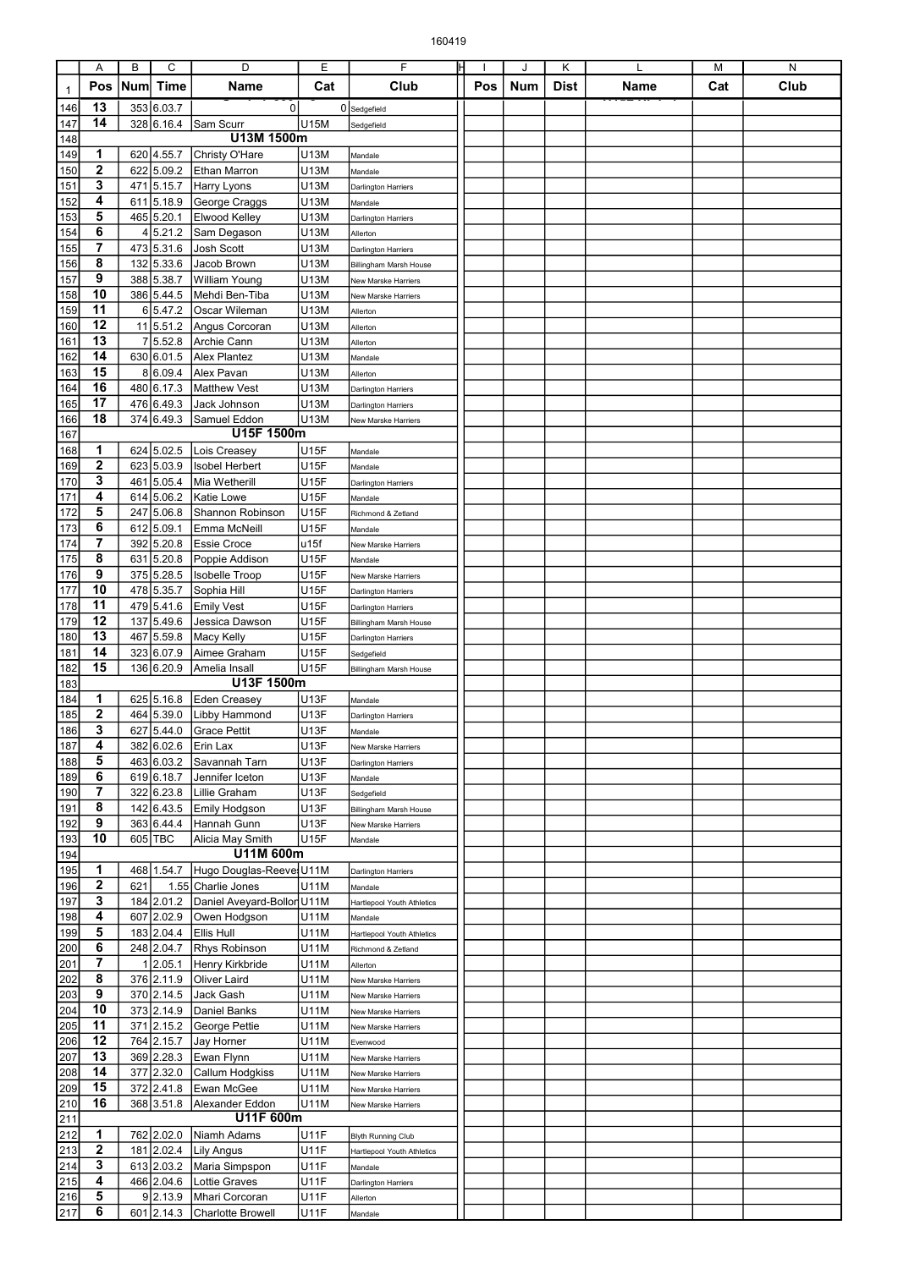|              | Α               | В          | С                        | D                                                         | Е                         | F                                                | ΙH  | J          | Κ    |      | M   | N    |
|--------------|-----------------|------------|--------------------------|-----------------------------------------------------------|---------------------------|--------------------------------------------------|-----|------------|------|------|-----|------|
| $\mathbf{1}$ | Pos             | <b>Num</b> | <b>Time</b>              | Name                                                      | Cat                       | Club                                             | Pos | <b>Num</b> | Dist | Name | Cat | Club |
| 146          | 13              |            | 353 6.03.7               | $\mathbf 0$                                               |                           | 0 Sedgefield                                     |     |            |      |      |     |      |
| 147          | 14              |            | 328 6.16.4               | Sam Scurr                                                 | U15M                      | Sedgefield                                       |     |            |      |      |     |      |
| 148          |                 |            |                          | U13M 1500m                                                |                           |                                                  |     |            |      |      |     |      |
| 149          | 1               |            | 620 4.55.7               | Christy O'Hare                                            | U13M                      | Mandale                                          |     |            |      |      |     |      |
| 150          | $\mathbf{2}$    |            | 622 5.09.2               | <b>Ethan Marron</b>                                       | U13M                      | Mandale                                          |     |            |      |      |     |      |
| 151          | 3               |            | 471 5.15.7               | Harry Lyons                                               | U13M                      | Darlington Harriers                              |     |            |      |      |     |      |
| 152          | 4               |            | 611 5.18.9               | George Craggs                                             | U13M                      | Mandale                                          |     |            |      |      |     |      |
| 153          | 5               |            | 465 5.20.1               | <b>Elwood Kelley</b>                                      | U13M                      | <b>Darlington Harriers</b>                       |     |            |      |      |     |      |
| 154          | 6               |            | 4 5.21.2                 | Sam Degason                                               | U13M                      | Allerton                                         |     |            |      |      |     |      |
| 155          | 7               |            | 473 5.31.6               | Josh Scott                                                | U13M                      | Darlington Harriers                              |     |            |      |      |     |      |
| 156          | 8<br>9          |            | 132 5.33.6               | Jacob Brown                                               | U13M                      | Billingham Marsh House                           |     |            |      |      |     |      |
| 157<br>158   | $\overline{10}$ |            | 388 5.38.7<br>386 5.44.5 | <b>William Young</b><br>Mehdi Ben-Tiba                    | U13M<br>U <sub>13</sub> M | New Marske Harriers<br>New Marske Harriers       |     |            |      |      |     |      |
| 159          | 11              |            | 6 5.47.2                 | <b>Oscar Wileman</b>                                      | U13M                      | Allerton                                         |     |            |      |      |     |      |
| 160          | 12              |            | 11 5.51.2                | Angus Corcoran                                            | U13M                      | Allerton                                         |     |            |      |      |     |      |
| 161          | 13              |            | 7 5.52.8                 | Archie Cann                                               | U13M                      | Allerton                                         |     |            |      |      |     |      |
| 162          | 14              |            | 630 6.01.5               | Alex Plantez                                              | U13M                      | Mandale                                          |     |            |      |      |     |      |
| 163          | 15              |            | 8 6.09.4                 | Alex Pavan                                                | U13M                      | Allerton                                         |     |            |      |      |     |      |
| 164          | 16              |            | 480 6.17.3               | Matthew Vest                                              | U13M                      | <b>Darlington Harriers</b>                       |     |            |      |      |     |      |
| 165          | 17<br>18        |            | 476 6.49.3               | Jack Johnson                                              | U13M                      | Darlington Harriers                              |     |            |      |      |     |      |
| 166<br>167   |                 |            | 374 6.49.3               | Samuel Eddon<br>U15F 1500m                                | U13M                      | <b>New Marske Harriers</b>                       |     |            |      |      |     |      |
| 168          | 1               |            | 624 5.02.5               | Lois Creasey                                              | U15F                      | Mandale                                          |     |            |      |      |     |      |
| 169          | $\mathbf 2$     |            | 623 5.03.9               | <b>Isobel Herbert</b>                                     | U15F                      | Mandale                                          |     |            |      |      |     |      |
| 170          | 3               |            | 461 5.05.4               | Mia Wetherill                                             | U15F                      | Darlington Harriers                              |     |            |      |      |     |      |
| 171          | 4               |            | 614 5.06.2               | Katie Lowe                                                | U15F                      | Mandale                                          |     |            |      |      |     |      |
| 172          | 5               |            | 247 5.06.8               | Shannon Robinson                                          | U15F                      | Richmond & Zetland                               |     |            |      |      |     |      |
| 173          | 6               |            | 612 5.09.1               | Emma McNeill                                              | U15F                      | Mandale                                          |     |            |      |      |     |      |
| 174<br>175   | 7<br>8          |            | 392 5.20.8<br>631 5.20.8 | <b>Essie Croce</b><br>Poppie Addison                      | u15f                      | New Marske Harriers                              |     |            |      |      |     |      |
| 176          | 9               |            | 375 5.28.5               | <b>Isobelle Troop</b>                                     | U15F<br>U15F              | Mandale<br>New Marske Harriers                   |     |            |      |      |     |      |
| 177          | 10              |            | 478 5.35.7               | Sophia Hill                                               | U15F                      | <b>Darlington Harriers</b>                       |     |            |      |      |     |      |
| 178          | 11              |            | 479 5.41.6               | <b>Emily Vest</b>                                         | U15F                      | Darlington Harriers                              |     |            |      |      |     |      |
| 179          | 12              |            | 137 5.49.6               | Jessica Dawson                                            | U15F                      | Billingham Marsh House                           |     |            |      |      |     |      |
| 180          | 13              |            | 467 5.59.8               | Macy Kelly                                                | U15F                      | Darlington Harriers                              |     |            |      |      |     |      |
| 181          | 14              |            | 323 6.07.9               | Aimee Graham                                              | U15F                      | Sedgefield                                       |     |            |      |      |     |      |
| 182          | 15              |            | 136 6.20.9               | Amelia Insall<br>U13F 1500m                               | U15F                      | Billingham Marsh House                           |     |            |      |      |     |      |
| 183<br>184   | 1               |            | 625 5.16.8               | Eden Creasey                                              | <b>U13F</b>               | Mandale                                          |     |            |      |      |     |      |
| 185          | $\mathbf 2$     |            | 464 5.39.0               | Libby Hammond                                             | U13F                      | Darlington Harriers                              |     |            |      |      |     |      |
| 186          | 3               |            | 627 5.44.0               | Grace Pettit                                              | U <sub>13F</sub>          | Mandale                                          |     |            |      |      |     |      |
| 187          | 4               |            |                          | 382 6.02.6 Erin Lax                                       | U13F                      | New Marske Harriers                              |     |            |      |      |     |      |
| 188          | 5               |            |                          | 463 6.03.2 Savannah Tarn                                  | <b>U13F</b>               | <b>Darlington Harriers</b>                       |     |            |      |      |     |      |
| 189          | 6               |            | 619 6.18.7               | Jennifer Iceton                                           | U13F                      | Mandale                                          |     |            |      |      |     |      |
| 190          | 7               |            |                          | 322 6.23.8   Lillie Graham                                | U13F                      | Sedgefield                                       |     |            |      |      |     |      |
| 191<br>192   | 8<br>9          |            | 363 6.44.4               | 142 6.43.5 Emily Hodgson<br>Hannah Gunn                   | U13F<br>U13F              | Billingham Marsh House                           |     |            |      |      |     |      |
| 193          | 10              |            | 605 TBC                  | Alicia May Smith                                          | U15F                      | New Marske Harriers<br>Mandale                   |     |            |      |      |     |      |
| 194          |                 |            |                          | U11M 600m                                                 |                           |                                                  |     |            |      |      |     |      |
| 195          | 1               |            | 468 1.54.7               | Hugo Douglas-Reeve U11M                                   |                           | Darlington Harriers                              |     |            |      |      |     |      |
| 196          | $\mathbf 2$     | 621        |                          | 1.55 Charlie Jones                                        | U11M                      | Mandale                                          |     |            |      |      |     |      |
| 197          | 3               |            | 184 2.01.2               | Daniel Aveyard-Bollon U11M                                |                           | <b>Hartlepool Youth Athletics</b>                |     |            |      |      |     |      |
| 198          | 4               |            | 607 2.02.9               | Owen Hodgson                                              | U11M                      | Mandale                                          |     |            |      |      |     |      |
| 199<br>200   | 5<br>6          |            | 183 2.04.4<br>248 2.04.7 | <b>Ellis Hull</b><br><b>Rhys Robinson</b>                 | U11M<br>U11M              | Hartlepool Youth Athletics<br>Richmond & Zetland |     |            |      |      |     |      |
| 201          | 7               |            | 1 2.05.1                 | Henry Kirkbride                                           | U11M                      | Allerton                                         |     |            |      |      |     |      |
| 202          | 8               |            | 376 2.11.9               | <b>Oliver Laird</b>                                       | U11M                      | New Marske Harriers                              |     |            |      |      |     |      |
| 203          | 9               |            | 370 2.14.5               | Jack Gash                                                 | U11M                      | New Marske Harriers                              |     |            |      |      |     |      |
| 204          | 10              |            | 373 2.14.9               | Daniel Banks                                              | U11M                      | New Marske Harriers                              |     |            |      |      |     |      |
| 205          | 11              |            | 371 2.15.2               | George Pettie                                             | U11M                      | New Marske Harriers                              |     |            |      |      |     |      |
| 206          | 12              |            |                          | 764 2.15.7 Jay Horner                                     | U11M                      | Evenwood                                         |     |            |      |      |     |      |
| 207<br>208   | 13<br>14        |            | 377 2.32.0               | 369 2.28.3 Ewan Flynn<br>Callum Hodgkiss                  | U11M<br>U11M              | New Marske Harriers<br>New Marske Harriers       |     |            |      |      |     |      |
| 209          | 15              |            | 372 2.41.8               | Ewan McGee                                                | U11M                      | New Marske Harriers                              |     |            |      |      |     |      |
| 210          | 16              |            | 368 3.51.8               | Alexander Eddon                                           | U11M                      | New Marske Harriers                              |     |            |      |      |     |      |
| 211          |                 |            |                          | U11F 600m                                                 |                           |                                                  |     |            |      |      |     |      |
| 212          | 1               |            | 762 2.02.0               | Niamh Adams                                               | <b>U11F</b>               | Blyth Running Club                               |     |            |      |      |     |      |
| 213          | 2               |            |                          | 181 2.02.4   Lily Angus                                   | <b>U11F</b>               | Hartlepool Youth Athletics                       |     |            |      |      |     |      |
| 214<br>215   | 3<br>4          |            |                          | 613 2.03.2   Maria Simpspon<br>466 2.04.6   Lottie Graves | U11F                      | Mandale                                          |     |            |      |      |     |      |
| 216          | 5               |            |                          | 9 2.13.9   Mhari Corcoran                                 | U11F<br><b>U11F</b>       | Darlington Harriers<br>Allerton                  |     |            |      |      |     |      |
| 217          | 6               |            | 601 2.14.3               | Charlotte Browell                                         | <b>U11F</b>               | Mandale                                          |     |            |      |      |     |      |
|              |                 |            |                          |                                                           |                           |                                                  |     |            |      |      |     |      |